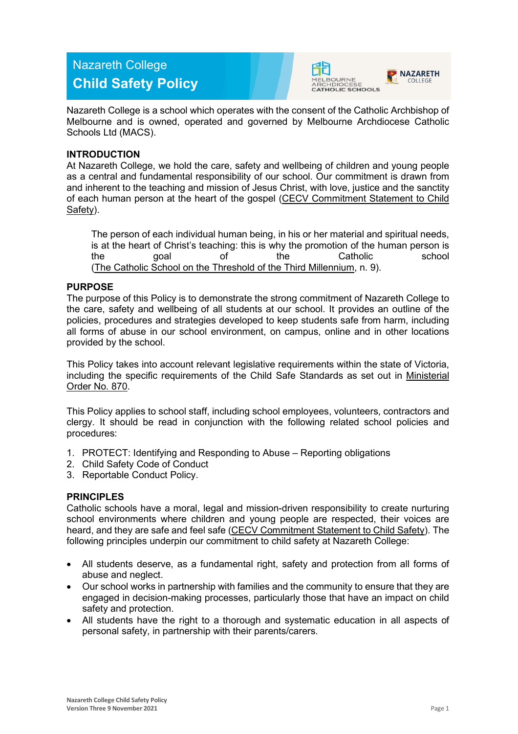# Nazareth College **Child Safety Policy**





Nazareth College is a school which operates with the consent of the Catholic Archbishop of Melbourne and is owned, operated and governed by Melbourne Archdiocese Catholic Schools Ltd (MACS).

# **INTRODUCTION**

At Nazareth College, we hold the care, safety and wellbeing of children and young people as a central and fundamental responsibility of our school. Our commitment is drawn from and inherent to the teaching and mission of Jesus Christ, with love, justice and the sanctity of each human person at the heart of the gospel [\(CECV Commitment Statement to Child](https://www.cecv.catholic.edu.au/getmedia/b5d43278-51b9-4704-b45a-f14e50546a70/Commitment-Statement-A4.aspx)  [Safety\)](https://www.cecv.catholic.edu.au/getmedia/b5d43278-51b9-4704-b45a-f14e50546a70/Commitment-Statement-A4.aspx).

The person of each individual human being, in his or her material and spiritual needs, is at the heart of Christ's teaching: this is why the promotion of the human person is<br>the catholic school of the Catholic the goal of the Catholic school [\(The Catholic School on the Threshold of the Third Millennium,](http://www.vatican.va/roman_curia/congregations/ccatheduc/documents/rc_con_ccatheduc_doc_27041998_school2000_en.html) n. 9).

# **PURPOSE**

The purpose of this Policy is to demonstrate the strong commitment of Nazareth College to the care, safety and wellbeing of all students at our school. It provides an outline of the policies, procedures and strategies developed to keep students safe from harm, including all forms of abuse in our school environment, on campus, online and in other locations provided by the school.

This Policy takes into account relevant legislative requirements within the state of Victoria, including the specific requirements of the Child Safe Standards as set out in [Ministerial](http://www.gazette.vic.gov.au/gazette/Gazettes2016/GG2016S002.pdf)  [Order No. 870.](http://www.gazette.vic.gov.au/gazette/Gazettes2016/GG2016S002.pdf)

This Policy applies to school staff, including school employees, volunteers, contractors and clergy. It should be read in conjunction with the following related school policies and procedures:

- 1. PROTECT: Identifying and Responding to Abuse Reporting obligations
- 2. Child Safety Code of Conduct
- 3. Reportable Conduct Policy.

# **PRINCIPLES**

Catholic schools have a moral, legal and mission-driven responsibility to create nurturing school environments where children and young people are respected, their voices are heard, and they are safe and feel safe [\(CECV Commitment Statement to Child Safety\)](https://www.cecv.catholic.edu.au/getmedia/b5d43278-51b9-4704-b45a-f14e50546a70/Commitment-Statement-A4.aspx). The following principles underpin our commitment to child safety at Nazareth College:

- All students deserve, as a fundamental right, safety and protection from all forms of abuse and neglect.
- Our school works in partnership with families and the community to ensure that they are engaged in decision-making processes, particularly those that have an impact on child safety and protection.
- All students have the right to a thorough and systematic education in all aspects of personal safety, in partnership with their parents/carers.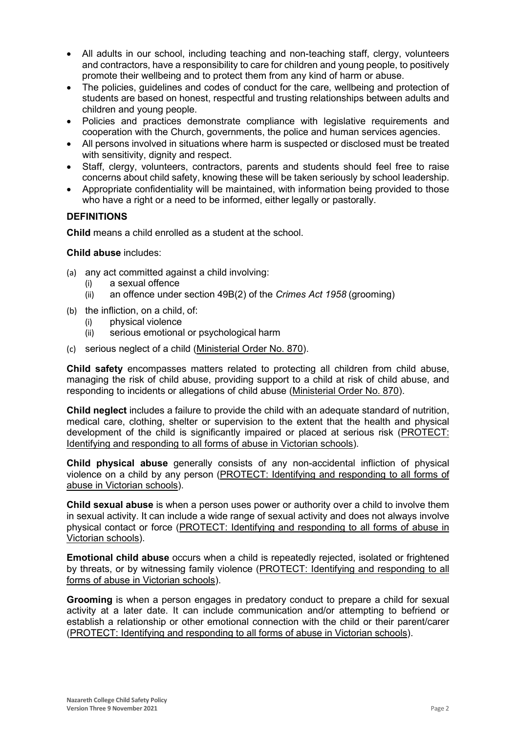- All adults in our school, including teaching and non-teaching staff, clergy, volunteers and contractors, have a responsibility to care for children and young people, to positively promote their wellbeing and to protect them from any kind of harm or abuse.
- The policies, guidelines and codes of conduct for the care, wellbeing and protection of students are based on honest, respectful and trusting relationships between adults and children and young people.
- Policies and practices demonstrate compliance with legislative requirements and cooperation with the Church, governments, the police and human services agencies.
- All persons involved in situations where harm is suspected or disclosed must be treated with sensitivity, dignity and respect.
- Staff, clergy, volunteers, contractors, parents and students should feel free to raise concerns about child safety, knowing these will be taken seriously by school leadership.
- Appropriate confidentiality will be maintained, with information being provided to those who have a right or a need to be informed, either legally or pastorally.

# **DEFINITIONS**

**Child** means a child enrolled as a student at the school.

**Child abuse** includes:

- (a) any act committed against a child involving:
	- (i) a sexual offence
	- (ii) an offence under section 49B(2) of the *Crimes Act 1958* (grooming)
- (b) the infliction, on a child, of:
	- (i) physical violence<br>(ii) serious emotiona
	- serious emotional or psychological harm
- (c) serious neglect of a child [\(Ministerial Order No. 870\)](http://www.gazette.vic.gov.au/gazette/Gazettes2016/GG2016S002.pdf).

**Child safety** encompasses matters related to protecting all children from child abuse, managing the risk of child abuse, providing support to a child at risk of child abuse, and responding to incidents or allegations of child abuse [\(Ministerial Order No. 870\)](http://www.gazette.vic.gov.au/gazette/Gazettes2016/GG2016S002.pdf).

**Child neglect** includes a failure to provide the child with an adequate standard of nutrition, medical care, clothing, shelter or supervision to the extent that the health and physical development of the child is significantly impaired or placed at serious risk [\(PROTECT:](http://www.cecv.catholic.edu.au/getmedia/ebe135a4-d1b3-48a0-81fe-50d4fc451bcd/Identifying-and-Responding-to-All-Forms-of-Abuse.aspx#page%3D27)  [Identifying and responding to all forms of abuse in Victorian schools\)](http://www.cecv.catholic.edu.au/getmedia/ebe135a4-d1b3-48a0-81fe-50d4fc451bcd/Identifying-and-Responding-to-All-Forms-of-Abuse.aspx#page%3D27).

**Child physical abuse** generally consists of any non-accidental infliction of physical violence on a child by any person [\(PROTECT: Identifying and responding to all forms of](https://www.cecv.catholic.edu.au/getmedia/ebe135a4-d1b3-48a0-81fe-50d4fc451bcd/Identifying-and-Responding-to-All-Forms-of-Abuse.aspx#page%3D15)  [abuse in Victorian schools\)](https://www.cecv.catholic.edu.au/getmedia/ebe135a4-d1b3-48a0-81fe-50d4fc451bcd/Identifying-and-Responding-to-All-Forms-of-Abuse.aspx#page%3D15).

**Child sexual abuse** is when a person uses power or authority over a child to involve them in sexual activity. It can include a wide range of sexual activity and does not always involve physical contact or force [\(PROTECT: Identifying and responding to all forms of abuse in](https://www.cecv.catholic.edu.au/getmedia/ebe135a4-d1b3-48a0-81fe-50d4fc451bcd/Identifying-and-Responding-to-All-Forms-of-Abuse.aspx#page%3D17)  [Victorian schools\)](https://www.cecv.catholic.edu.au/getmedia/ebe135a4-d1b3-48a0-81fe-50d4fc451bcd/Identifying-and-Responding-to-All-Forms-of-Abuse.aspx#page%3D17).

**Emotional child abuse** occurs when a child is repeatedly rejected, isolated or frightened by threats, or by witnessing family violence [\(PROTECT: Identifying and responding to all](https://www.cecv.catholic.edu.au/getmedia/ebe135a4-d1b3-48a0-81fe-50d4fc451bcd/Identifying-and-Responding-to-All-Forms-of-Abuse.aspx#page%3D26)  [forms of abuse in Victorian schools\)](https://www.cecv.catholic.edu.au/getmedia/ebe135a4-d1b3-48a0-81fe-50d4fc451bcd/Identifying-and-Responding-to-All-Forms-of-Abuse.aspx#page%3D26).

**Grooming** is when a person engages in predatory conduct to prepare a child for sexual activity at a later date. It can include communication and/or attempting to befriend or establish a relationship or other emotional connection with the child or their parent/carer [\(PROTECT: Identifying and responding to all forms of abuse in Victorian schools\)](https://www.cecv.catholic.edu.au/getmedia/ebe135a4-d1b3-48a0-81fe-50d4fc451bcd/Identifying-and-Responding-to-All-Forms-of-Abuse.aspx#page%3D20).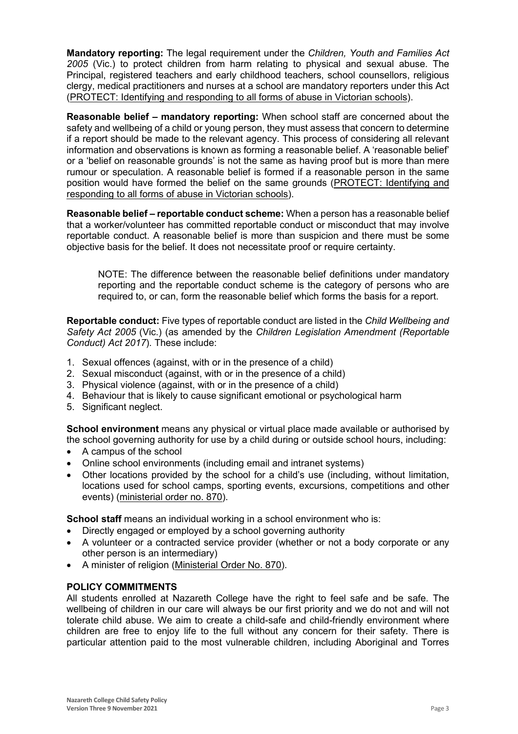**Mandatory reporting:** The legal requirement under the *Children, Youth and Families Act 2005* (Vic.) to protect children from harm relating to physical and sexual abuse. The Principal, registered teachers and early childhood teachers, school counsellors, religious clergy, medical practitioners and nurses at a school are mandatory reporters under this Act [\(PROTECT: Identifying and responding to all forms of abuse in Victorian schools\)](http://www.cecv.catholic.edu.au/getmedia/ebe135a4-d1b3-48a0-81fe-50d4fc451bcd/Identifying-and-Responding-to-All-Forms-of-Abuse.aspx#page%3D8).

**Reasonable belief – mandatory reporting:** When school staff are concerned about the safety and wellbeing of a child or young person, they must assess that concern to determine if a report should be made to the relevant agency. This process of considering all relevant information and observations is known as forming a reasonable belief. A 'reasonable belief' or a 'belief on reasonable grounds' is not the same as having proof but is more than mere rumour or speculation. A reasonable belief is formed if a reasonable person in the same position would have formed the belief on the same grounds [\(PROTECT: Identifying and](http://www.cecv.catholic.edu.au/getmedia/ebe135a4-d1b3-48a0-81fe-50d4fc451bcd/Identifying-and-Responding-to-All-Forms-of-Abuse.aspx#page%3D35)  [responding to all forms of abuse in Victorian schools\)](http://www.cecv.catholic.edu.au/getmedia/ebe135a4-d1b3-48a0-81fe-50d4fc451bcd/Identifying-and-Responding-to-All-Forms-of-Abuse.aspx#page%3D35).

**Reasonable belief – reportable conduct scheme:** When a person has a reasonable belief that a worker/volunteer has committed reportable conduct or misconduct that may involve reportable conduct. A reasonable belief is more than suspicion and there must be some objective basis for the belief. It does not necessitate proof or require certainty.

NOTE: The difference between the reasonable belief definitions under mandatory reporting and the reportable conduct scheme is the category of persons who are required to, or can, form the reasonable belief which forms the basis for a report.

**Reportable conduct:** Five types of reportable conduct are listed in the *Child Wellbeing and Safety Act 2005* (Vic.) (as amended by the *Children Legislation Amendment (Reportable Conduct) Act 2017*). These include:

- 1. Sexual offences (against, with or in the presence of a child)
- 2. Sexual misconduct (against, with or in the presence of a child)
- 3. Physical violence (against, with or in the presence of a child)
- 4. Behaviour that is likely to cause significant emotional or psychological harm
- 5. Significant neglect.

**School environment** means any physical or virtual place made available or authorised by the school governing authority for use by a child during or outside school hours, including:

- A campus of the school
- Online school environments (including email and intranet systems)
- Other locations provided by the school for a child's use (including, without limitation, locations used for school camps, sporting events, excursions, competitions and other events) [\(ministerial order no. 870\)](http://www.gazette.vic.gov.au/gazette/Gazettes2016/GG2016S002.pdf).

**School staff** means an individual working in a school environment who is:

- Directly engaged or employed by a school governing authority
- A volunteer or a contracted service provider (whether or not a body corporate or any other person is an intermediary)
- A minister of religion [\(Ministerial Order No. 870\)](http://www.gazette.vic.gov.au/gazette/Gazettes2016/GG2016S002.pdf).

# **POLICY COMMITMENTS**

All students enrolled at Nazareth College have the right to feel safe and be safe. The wellbeing of children in our care will always be our first priority and we do not and will not tolerate child abuse. We aim to create a child-safe and child-friendly environment where children are free to enjoy life to the full without any concern for their safety. There is particular attention paid to the most vulnerable children, including Aboriginal and Torres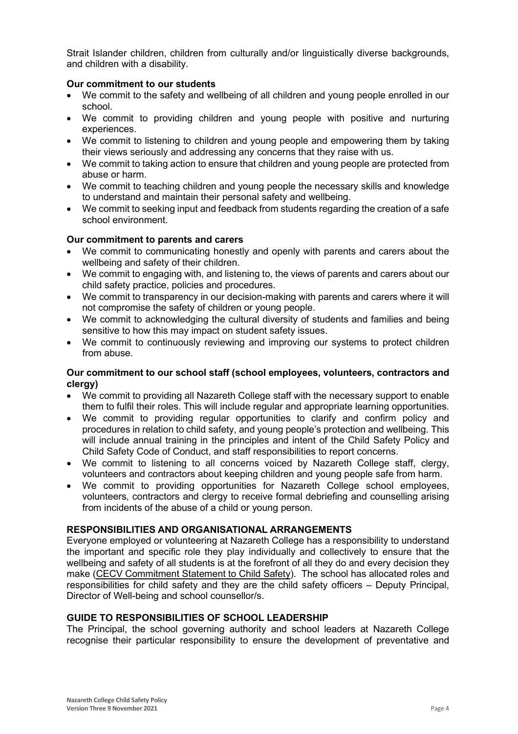Strait Islander children, children from culturally and/or linguistically diverse backgrounds, and children with a disability.

# **Our commitment to our students**

- We commit to the safety and wellbeing of all children and young people enrolled in our school.
- We commit to providing children and young people with positive and nurturing experiences.
- We commit to listening to children and young people and empowering them by taking their views seriously and addressing any concerns that they raise with us.
- We commit to taking action to ensure that children and young people are protected from abuse or harm.
- We commit to teaching children and young people the necessary skills and knowledge to understand and maintain their personal safety and wellbeing.
- We commit to seeking input and feedback from students regarding the creation of a safe school environment.

# **Our commitment to parents and carers**

- We commit to communicating honestly and openly with parents and carers about the wellbeing and safety of their children.
- We commit to engaging with, and listening to, the views of parents and carers about our child safety practice, policies and procedures.
- We commit to transparency in our decision-making with parents and carers where it will not compromise the safety of children or young people.
- We commit to acknowledging the cultural diversity of students and families and being sensitive to how this may impact on student safety issues.
- We commit to continuously reviewing and improving our systems to protect children from abuse.

# **Our commitment to our school staff (school employees, volunteers, contractors and clergy)**

- We commit to providing all Nazareth College staff with the necessary support to enable them to fulfil their roles. This will include regular and appropriate learning opportunities.
- We commit to providing regular opportunities to clarify and confirm policy and procedures in relation to child safety, and young people's protection and wellbeing. This will include annual training in the principles and intent of the Child Safety Policy and Child Safety Code of Conduct, and staff responsibilities to report concerns.
- We commit to listening to all concerns voiced by Nazareth College staff, clergy, volunteers and contractors about keeping children and young people safe from harm.
- We commit to providing opportunities for Nazareth College school employees, volunteers, contractors and clergy to receive formal debriefing and counselling arising from incidents of the abuse of a child or young person.

# **RESPONSIBILITIES AND ORGANISATIONAL ARRANGEMENTS**

Everyone employed or volunteering at Nazareth College has a responsibility to understand the important and specific role they play individually and collectively to ensure that the wellbeing and safety of all students is at the forefront of all they do and every decision they make [\(CECV Commitment Statement to Child Safety\)](https://www.cecv.catholic.edu.au/getmedia/b5d43278-51b9-4704-b45a-f14e50546a70/Commitment-Statement-A4.aspx). The school has allocated roles and responsibilities for child safety and they are the child safety officers – Deputy Principal, Director of Well-being and school counsellor/s.

# **GUIDE TO RESPONSIBILITIES OF SCHOOL LEADERSHIP**

The Principal, the school governing authority and school leaders at Nazareth College recognise their particular responsibility to ensure the development of preventative and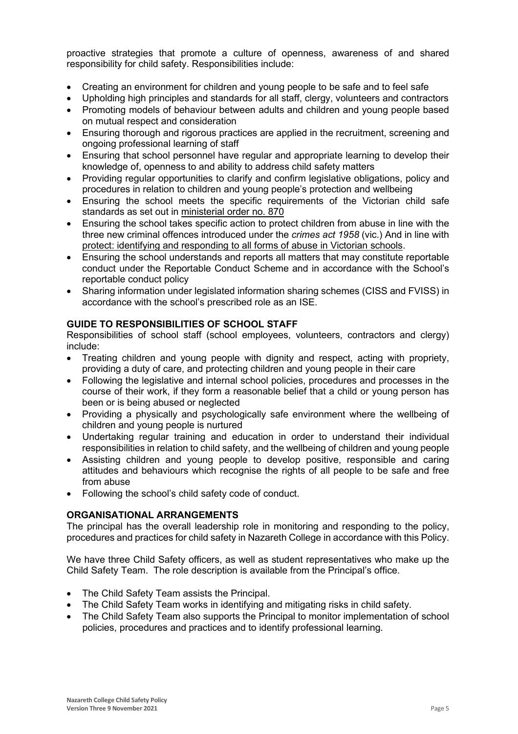proactive strategies that promote a culture of openness, awareness of and shared responsibility for child safety. Responsibilities include:

- Creating an environment for children and young people to be safe and to feel safe
- Upholding high principles and standards for all staff, clergy, volunteers and contractors
- Promoting models of behaviour between adults and children and young people based on mutual respect and consideration
- Ensuring thorough and rigorous practices are applied in the recruitment, screening and ongoing professional learning of staff
- Ensuring that school personnel have regular and appropriate learning to develop their knowledge of, openness to and ability to address child safety matters
- Providing regular opportunities to clarify and confirm legislative obligations, policy and procedures in relation to children and young people's protection and wellbeing
- Ensuring the school meets the specific requirements of the Victorian child safe standards as set out in [ministerial order no. 870](http://www.gazette.vic.gov.au/gazette/Gazettes2016/GG2016S002.pdf)
- Ensuring the school takes specific action to protect children from abuse in line with the three new criminal offences introduced under the *crimes act 1958* (vic.) And in line with [protect: identifying and responding to all forms of abuse in Victorian](http://www.cecv.catholic.edu.au/getmedia/ebe135a4-d1b3-48a0-81fe-50d4fc451bcd/Identifying-and-Responding-to-All-Forms-of-Abuse.aspx) schools.
- Ensuring the school understands and reports all matters that may constitute reportable conduct under the Reportable Conduct Scheme and in accordance with the School's reportable conduct policy
- Sharing information under legislated information sharing schemes (CISS and FVISS) in accordance with the school's prescribed role as an ISE.

# **GUIDE TO RESPONSIBILITIES OF SCHOOL STAFF**

Responsibilities of school staff (school employees, volunteers, contractors and clergy) include:

- Treating children and young people with dignity and respect, acting with propriety, providing a duty of care, and protecting children and young people in their care
- Following the legislative and internal school policies, procedures and processes in the course of their work, if they form a reasonable belief that a child or young person has been or is being abused or neglected
- Providing a physically and psychologically safe environment where the wellbeing of children and young people is nurtured
- Undertaking regular training and education in order to understand their individual responsibilities in relation to child safety, and the wellbeing of children and young people
- Assisting children and young people to develop positive, responsible and caring attitudes and behaviours which recognise the rights of all people to be safe and free from abuse
- Following the school's child safety code of conduct.

# **ORGANISATIONAL ARRANGEMENTS**

The principal has the overall leadership role in monitoring and responding to the policy, procedures and practices for child safety in Nazareth College in accordance with this Policy.

We have three Child Safety officers, as well as student representatives who make up the Child Safety Team. The role description is available from the Principal's office.

- The Child Safety Team assists the Principal.
- The Child Safety Team works in identifying and mitigating risks in child safety.
- The Child Safety Team also supports the Principal to monitor implementation of school policies, procedures and practices and to identify professional learning.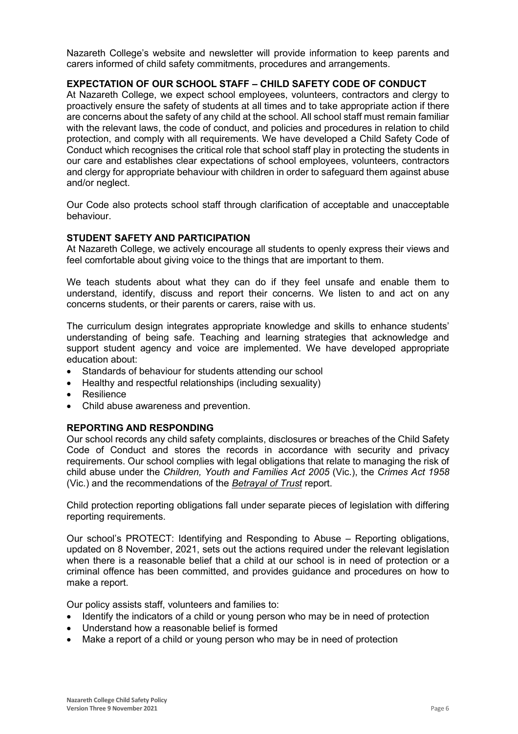Nazareth College's website and newsletter will provide information to keep parents and carers informed of child safety commitments, procedures and arrangements.

# **EXPECTATION OF OUR SCHOOL STAFF – CHILD SAFETY CODE OF CONDUCT**

At Nazareth College, we expect school employees, volunteers, contractors and clergy to proactively ensure the safety of students at all times and to take appropriate action if there are concerns about the safety of any child at the school. All school staff must remain familiar with the relevant laws, the code of conduct, and policies and procedures in relation to child protection, and comply with all requirements. We have developed a Child Safety Code of Conduct which recognises the critical role that school staff play in protecting the students in our care and establishes clear expectations of school employees, volunteers, contractors and clergy for appropriate behaviour with children in order to safeguard them against abuse and/or neglect.

Our Code also protects school staff through clarification of acceptable and unacceptable behaviour.

# **STUDENT SAFETY AND PARTICIPATION**

At Nazareth College, we actively encourage all students to openly express their views and feel comfortable about giving voice to the things that are important to them.

We teach students about what they can do if they feel unsafe and enable them to understand, identify, discuss and report their concerns. We listen to and act on any concerns students, or their parents or carers, raise with us.

The curriculum design integrates appropriate knowledge and skills to enhance students' understanding of being safe. Teaching and learning strategies that acknowledge and support student agency and voice are implemented. We have developed appropriate education about:

- Standards of behaviour for students attending our school
- Healthy and respectful relationships (including sexuality)
- **Resilience**
- Child abuse awareness and prevention.

# **REPORTING AND RESPONDING**

Our school records any child safety complaints, disclosures or breaches of the Child Safety Code of Conduct and stores the records in accordance with security and privacy requirements. Our school complies with legal obligations that relate to managing the risk of child abuse under the *Children, Youth and Families Act 2005* (Vic.), the *Crimes Act 1958* (Vic.) and the recommendations of the *[Betrayal of Trust](http://www.parliament.vic.gov.au/fcdc/article/1788)* report.

Child protection reporting obligations fall under separate pieces of legislation with differing reporting requirements.

Our school's PROTECT: Identifying and Responding to Abuse – Reporting obligations, updated on 8 November, 2021, sets out the actions required under the relevant legislation when there is a reasonable belief that a child at our school is in need of protection or a criminal offence has been committed, and provides guidance and procedures on how to make a report.

Our policy assists staff, volunteers and families to:

- Identify the indicators of a child or young person who may be in need of protection
- Understand how a reasonable belief is formed
- Make a report of a child or young person who may be in need of protection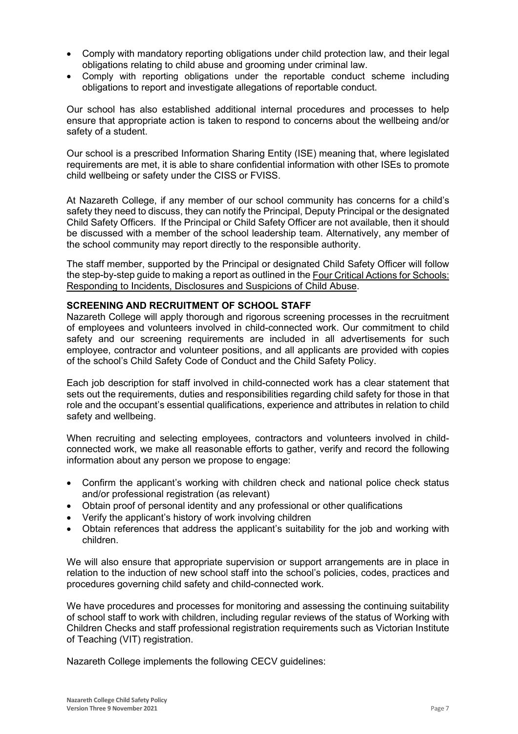- Comply with mandatory reporting obligations under child protection law, and their legal obligations relating to child abuse and grooming under criminal law.
- Comply with reporting obligations under the reportable conduct scheme including obligations to report and investigate allegations of reportable conduct.

Our school has also established additional internal procedures and processes to help ensure that appropriate action is taken to respond to concerns about the wellbeing and/or safety of a student.

Our school is a prescribed Information Sharing Entity (ISE) meaning that, where legislated requirements are met, it is able to share confidential information with other ISEs to promote child wellbeing or safety under the CISS or FVISS.

At Nazareth College, if any member of our school community has concerns for a child's safety they need to discuss, they can notify the Principal, Deputy Principal or the designated Child Safety Officers. If the Principal or Child Safety Officer are not available, then it should be discussed with a member of the school leadership team. Alternatively, any member of the school community may report directly to the responsible authority.

The staff member, supported by the Principal or designated Child Safety Officer will follow the step-by-step guide to making a report as outlined in the [Four Critical Actions for Schools:](https://www.education.vic.gov.au/Documents/about/programs/health/protect/FourCriticalActions_ChildAbuse.pdf)  [Responding to Incidents, Disclosures and Suspicions of Child Abuse.](https://www.education.vic.gov.au/Documents/about/programs/health/protect/FourCriticalActions_ChildAbuse.pdf)

# **SCREENING AND RECRUITMENT OF SCHOOL STAFF**

Nazareth College will apply thorough and rigorous screening processes in the recruitment of employees and volunteers involved in child-connected work. Our commitment to child safety and our screening requirements are included in all advertisements for such employee, contractor and volunteer positions, and all applicants are provided with copies of the school's Child Safety Code of Conduct and the Child Safety Policy.

Each job description for staff involved in child-connected work has a clear statement that sets out the requirements, duties and responsibilities regarding child safety for those in that role and the occupant's essential qualifications, experience and attributes in relation to child safety and wellbeing.

When recruiting and selecting employees, contractors and volunteers involved in childconnected work, we make all reasonable efforts to gather, verify and record the following information about any person we propose to engage:

- Confirm the applicant's working with children check and national police check status and/or professional registration (as relevant)
- Obtain proof of personal identity and any professional or other qualifications
- Verify the applicant's history of work involving children
- Obtain references that address the applicant's suitability for the job and working with children.

We will also ensure that appropriate supervision or support arrangements are in place in relation to the induction of new school staff into the school's policies, codes, practices and procedures governing child safety and child-connected work.

We have procedures and processes for monitoring and assessing the continuing suitability of school staff to work with children, including regular reviews of the status of Working with Children Checks and staff professional registration requirements such as Victorian Institute of Teaching (VIT) registration.

Nazareth College implements the following CECV guidelines: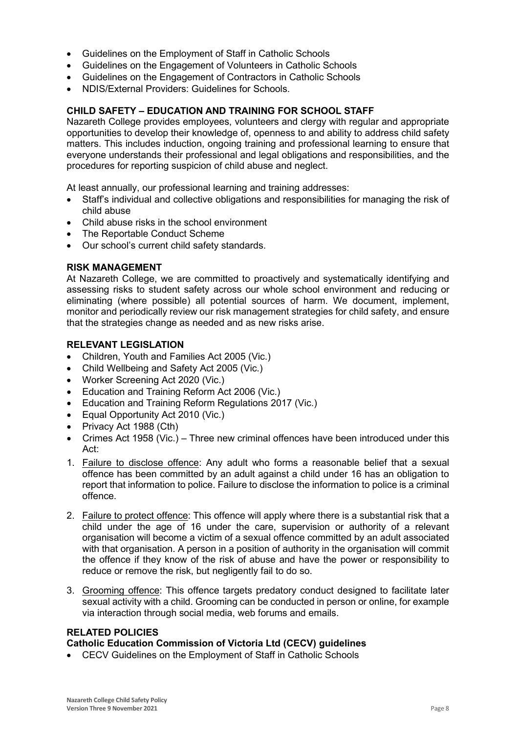- Guidelines on the Employment of Staff in Catholic Schools
- Guidelines on the Engagement of Volunteers in Catholic Schools
- Guidelines on the Engagement of Contractors in Catholic Schools
- NDIS/External Providers: Guidelines for Schools.

#### **CHILD SAFETY – EDUCATION AND TRAINING FOR SCHOOL STAFF**

Nazareth College provides employees, volunteers and clergy with regular and appropriate opportunities to develop their knowledge of, openness to and ability to address child safety matters. This includes induction, ongoing training and professional learning to ensure that everyone understands their professional and legal obligations and responsibilities, and the procedures for reporting suspicion of child abuse and neglect.

At least annually, our professional learning and training addresses:

- Staff's individual and collective obligations and responsibilities for managing the risk of child abuse
- Child abuse risks in the school environment
- The Reportable Conduct Scheme
- Our school's current child safety standards.

#### **RISK MANAGEMENT**

At Nazareth College, we are committed to proactively and systematically identifying and assessing risks to student safety across our whole school environment and reducing or eliminating (where possible) all potential sources of harm. We document, implement, monitor and periodically review our risk management strategies for child safety, and ensure that the strategies change as needed and as new risks arise.

#### **RELEVANT LEGISLATION**

- Children, Youth and Families Act 2005 (Vic.)
- Child Wellbeing and Safety Act 2005 (Vic.)
- Worker Screening Act 2020 (Vic.)
- Education and Training Reform Act 2006 (Vic.)
- Education and Training Reform Regulations 2017 (Vic.)
- Equal Opportunity Act 2010 (Vic.)
- Privacy Act 1988 (Cth)
- Crimes Act 1958 (Vic.) Three new criminal offences have been introduced under this Act:
- 1. [Failure to disclose offence:](https://www.justice.vic.gov.au/safer-communities/protecting-children-and-families/failure-to-disclose-offence#%3A%7E%3Atext%3DIn%202014%2C%20the%20law%20in%20Victoria%20was%20changed%2Coffended%20against%20a%20child%20under%2016%20in%20Victoria) Any adult who forms a reasonable belief that a sexual offence has been committed by an adult against a child under 16 has an obligation to report that information to police. Failure to disclose the information to police is a criminal offence.
- 2. [Failure to protect offence:](https://www.justice.vic.gov.au/safer-communities/protecting-children-and-families/failure-to-protect-a-new-criminal-offence-to#%3A%7E%3Atext%3DFailure%20to%20protect%3A%20a%20new%20criminal%20offence%20to%2Cfrom%20sexual%20abuse%20and%20exposure%20to%20sexual%20offenders) This offence will apply where there is a substantial risk that a child under the age of 16 under the care, supervision or authority of a relevant organisation will become a victim of a sexual offence committed by an adult associated with that organisation. A person in a position of authority in the organisation will commit the offence if they know of the risk of abuse and have the power or responsibility to reduce or remove the risk, but negligently fail to do so.
- 3. [Grooming offence:](https://www.justice.vic.gov.au/safer-communities/protecting-children-and-families/grooming-offence) This offence targets predatory conduct designed to facilitate later sexual activity with a child. Grooming can be conducted in person or online, for example via interaction through social media, web forums and emails.

# **RELATED POLICIES**

#### **Catholic Education Commission of Victoria Ltd (CECV) guidelines**

• [CECV Guidelines on the Employment of Staff in Catholic Schools](https://www.cecv.catholic.edu.au/getmedia/0393d7fb-2fb9-4e48-a05e-56b703dd62eb/Employment-Guidelines.aspx)